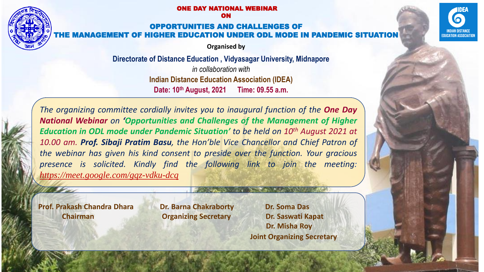#### IE DAY NATIONAL WEBINAR ON

#### TUNITIES AND CHALLENGES OF THE MANAGEMENT OF HIGHER EDUCATION UNDER ODL MODE IN PANDEI

**Organised by**

**Directorate of Distance Education , Vidyasagar University, Midnapore** 

*in collaboration with*  **Indian Distance Education Association (IDEA) Date: 10th August, 2021 Time: 09.55 a.m.**

*The organizing committee cordially invites you to inaugural function of the One Day National Webinar on 'Opportunities and Challenges of the Management of Higher Education in ODL mode under Pandemic Situation' to be held on 10th August 2021 at 10.00 am. Prof. Sibaji Pratim Basu, the Hon'ble Vice Chancellor and Chief Patron of the webinar has given his kind consent to preside over the function. Your gracious presence is solicited. Kindly find the following link to join the meeting: <https://meet.google.com/gqz-vdku-dcq>*

**Prof. Prakash Chandra Dhara Dr. Barna Chakraborty Dr. Soma Das**

**Chairman Organizing Secretary Dr. Saswati Kapat**

**Dr. Misha Roy Joint Organizing Secretary**